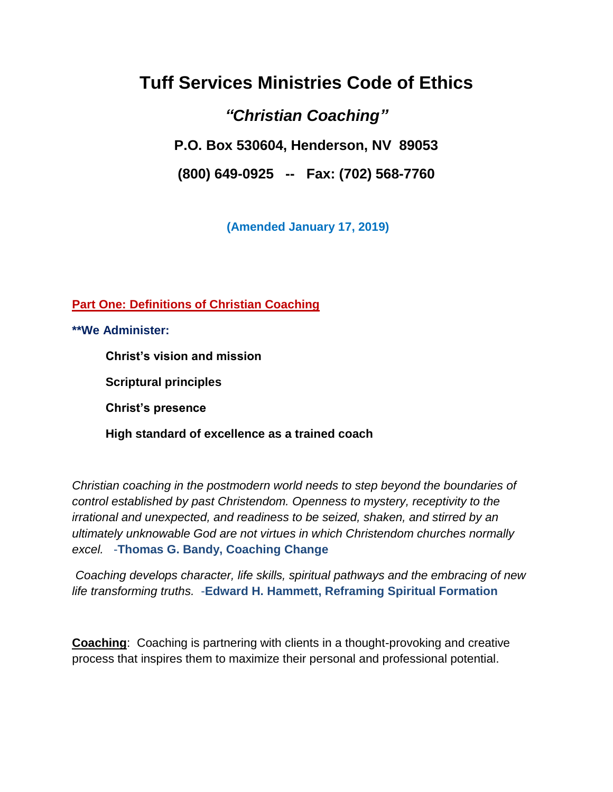# **Tuff Services Ministries Code of Ethics**

# *"Christian Coaching"*

**P.O. Box 530604, Henderson, NV 89053**

**(800) 649-0925 -- Fax: (702) 568-7760**

**(Amended January 17, 2019)**

**Part One: Definitions of Christian Coaching**

**\*\*We Administer:**

 **Christ's vision and mission** 

 **Scriptural principles** 

 **Christ's presence** 

 **High standard of excellence as a trained coach** 

*Christian coaching in the postmodern world needs to step beyond the boundaries of control established by past Christendom. Openness to mystery, receptivity to the irrational and unexpected, and readiness to be seized, shaken, and stirred by an ultimately unknowable God are not virtues in which Christendom churches normally excel.* -**Thomas G. Bandy, Coaching Change**

*Coaching develops character, life skills, spiritual pathways and the embracing of new life transforming truths.* -**Edward H. Hammett, Reframing Spiritual Formation**

**Coaching**: Coaching is partnering with clients in a thought-provoking and creative process that inspires them to maximize their personal and professional potential.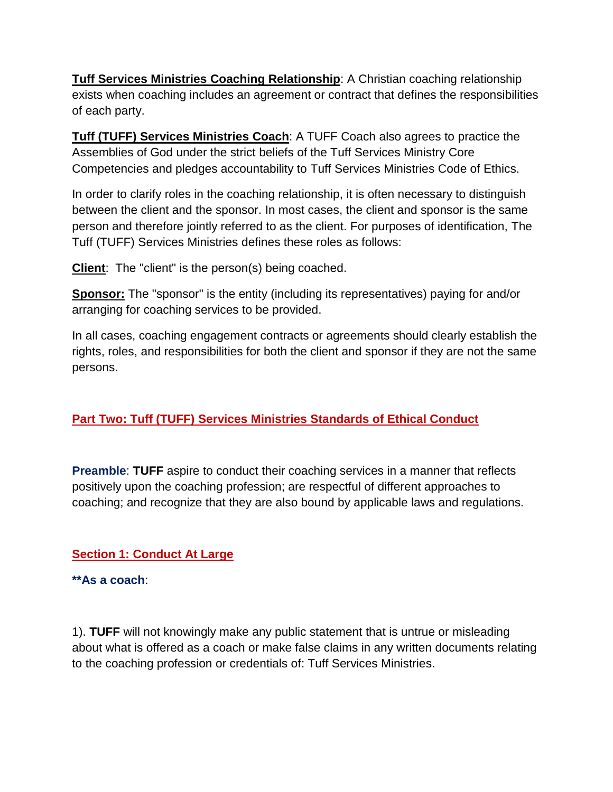**Tuff Services Ministries Coaching Relationship**: A Christian coaching relationship exists when coaching includes an agreement or contract that defines the responsibilities of each party.

**Tuff (TUFF) Services Ministries Coach**: A TUFF Coach also agrees to practice the Assemblies of God under the strict beliefs of the Tuff Services Ministry Core Competencies and pledges accountability to Tuff Services Ministries Code of Ethics.

In order to clarify roles in the coaching relationship, it is often necessary to distinguish between the client and the sponsor. In most cases, the client and sponsor is the same person and therefore jointly referred to as the client. For purposes of identification, The Tuff (TUFF) Services Ministries defines these roles as follows:

**Client:** The "client" is the person(s) being coached.

**Sponsor:** The "sponsor" is the entity (including its representatives) paying for and/or arranging for coaching services to be provided.

In all cases, coaching engagement contracts or agreements should clearly establish the rights, roles, and responsibilities for both the client and sponsor if they are not the same persons.

## **Part Two: Tuff (TUFF) Services Ministries Standards of Ethical Conduct**

**Preamble**: **TUFF** aspire to conduct their coaching services in a manner that reflects positively upon the coaching profession; are respectful of different approaches to coaching; and recognize that they are also bound by applicable laws and regulations.

### **Section 1: Conduct At Large**

**\*\*As a coach**:

1). **TUFF** will not knowingly make any public statement that is untrue or misleading about what is offered as a coach or make false claims in any written documents relating to the coaching profession or credentials of: Tuff Services Ministries.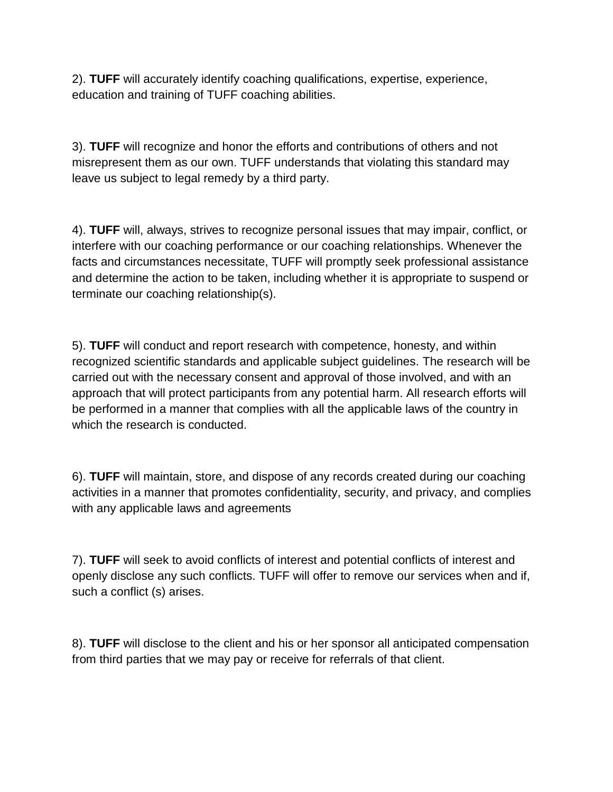2). **TUFF** will accurately identify coaching qualifications, expertise, experience, education and training of TUFF coaching abilities.

3). **TUFF** will recognize and honor the efforts and contributions of others and not misrepresent them as our own. TUFF understands that violating this standard may leave us subject to legal remedy by a third party.

4). **TUFF** will, always, strives to recognize personal issues that may impair, conflict, or interfere with our coaching performance or our coaching relationships. Whenever the facts and circumstances necessitate, TUFF will promptly seek professional assistance and determine the action to be taken, including whether it is appropriate to suspend or terminate our coaching relationship(s).

5). **TUFF** will conduct and report research with competence, honesty, and within recognized scientific standards and applicable subject guidelines. The research will be carried out with the necessary consent and approval of those involved, and with an approach that will protect participants from any potential harm. All research efforts will be performed in a manner that complies with all the applicable laws of the country in which the research is conducted.

6). **TUFF** will maintain, store, and dispose of any records created during our coaching activities in a manner that promotes confidentiality, security, and privacy, and complies with any applicable laws and agreements

7). **TUFF** will seek to avoid conflicts of interest and potential conflicts of interest and openly disclose any such conflicts. TUFF will offer to remove our services when and if, such a conflict (s) arises.

8). **TUFF** will disclose to the client and his or her sponsor all anticipated compensation from third parties that we may pay or receive for referrals of that client.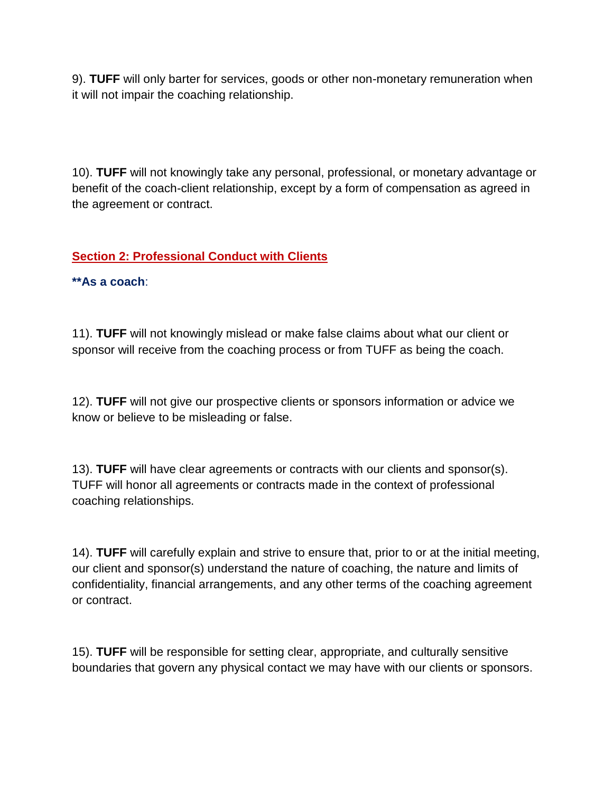9). **TUFF** will only barter for services, goods or other non-monetary remuneration when it will not impair the coaching relationship.

10). **TUFF** will not knowingly take any personal, professional, or monetary advantage or benefit of the coach-client relationship, except by a form of compensation as agreed in the agreement or contract.

### **Section 2: Professional Conduct with Clients**

**\*\*As a coach**:

11). **TUFF** will not knowingly mislead or make false claims about what our client or sponsor will receive from the coaching process or from TUFF as being the coach.

12). **TUFF** will not give our prospective clients or sponsors information or advice we know or believe to be misleading or false.

13). **TUFF** will have clear agreements or contracts with our clients and sponsor(s). TUFF will honor all agreements or contracts made in the context of professional coaching relationships.

14). **TUFF** will carefully explain and strive to ensure that, prior to or at the initial meeting, our client and sponsor(s) understand the nature of coaching, the nature and limits of confidentiality, financial arrangements, and any other terms of the coaching agreement or contract.

15). **TUFF** will be responsible for setting clear, appropriate, and culturally sensitive boundaries that govern any physical contact we may have with our clients or sponsors.